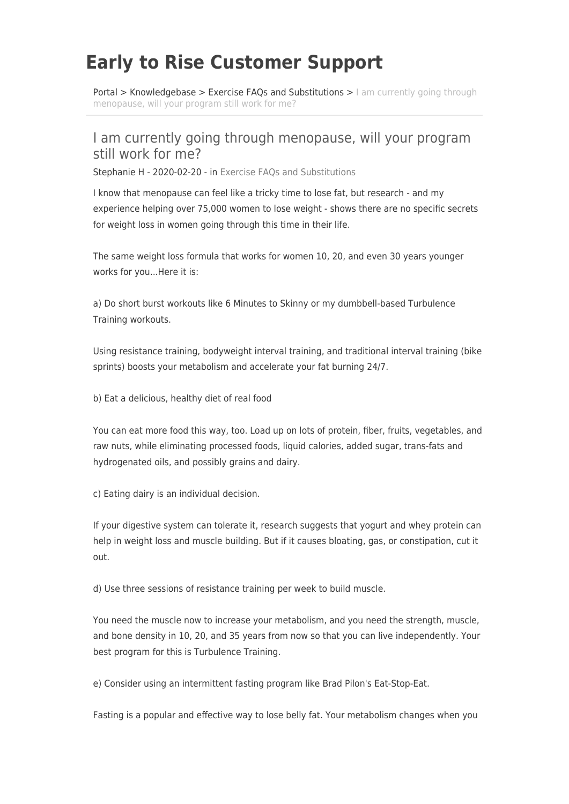## **Early to Rise Customer Support**

[Portal](https://www.etrhelp.com/) > [Knowledgebase](https://www.etrhelp.com/kb) > Exercise FAOs and Substitutions > [I am currently going through](https://www.etrhelp.com/kb/articles/i-am-currently-going-through-menopause-will-your-program-still-work-for-me-2) [menopause, will your program still work for me?](https://www.etrhelp.com/kb/articles/i-am-currently-going-through-menopause-will-your-program-still-work-for-me-2)

## I am currently going through menopause, will your program still work for me?

Stephanie H - 2020-02-20 - in [Exercise FAQs and Substitutions](https://www.etrhelp.com/kb/exercise-faqs-and-substitutions)

I know that menopause can feel like a tricky time to lose fat, but research - and my experience helping over 75,000 women to lose weight - shows there are no specific secrets for weight loss in women going through this time in their life.

The same weight loss formula that works for women 10, 20, and even 30 years younger works for you...Here it is:

a) Do short burst workouts like 6 Minutes to Skinny or my dumbbell-based Turbulence Training workouts.

Using resistance training, bodyweight interval training, and traditional interval training (bike sprints) boosts your metabolism and accelerate your fat burning 24/7.

b) Eat a delicious, healthy diet of real food

You can eat more food this way, too. Load up on lots of protein, fiber, fruits, vegetables, and raw nuts, while eliminating processed foods, liquid calories, added sugar, trans-fats and hydrogenated oils, and possibly grains and dairy.

c) Eating dairy is an individual decision.

If your digestive system can tolerate it, research suggests that yogurt and whey protein can help in weight loss and muscle building. But if it causes bloating, gas, or constipation, cut it out.

d) Use three sessions of resistance training per week to build muscle.

You need the muscle now to increase your metabolism, and you need the strength, muscle, and bone density in 10, 20, and 35 years from now so that you can live independently. Your best program for this is Turbulence Training.

e) Consider using an intermittent fasting program like Brad Pilon's Eat-Stop-Eat.

Fasting is a popular and effective way to lose belly fat. Your metabolism changes when you